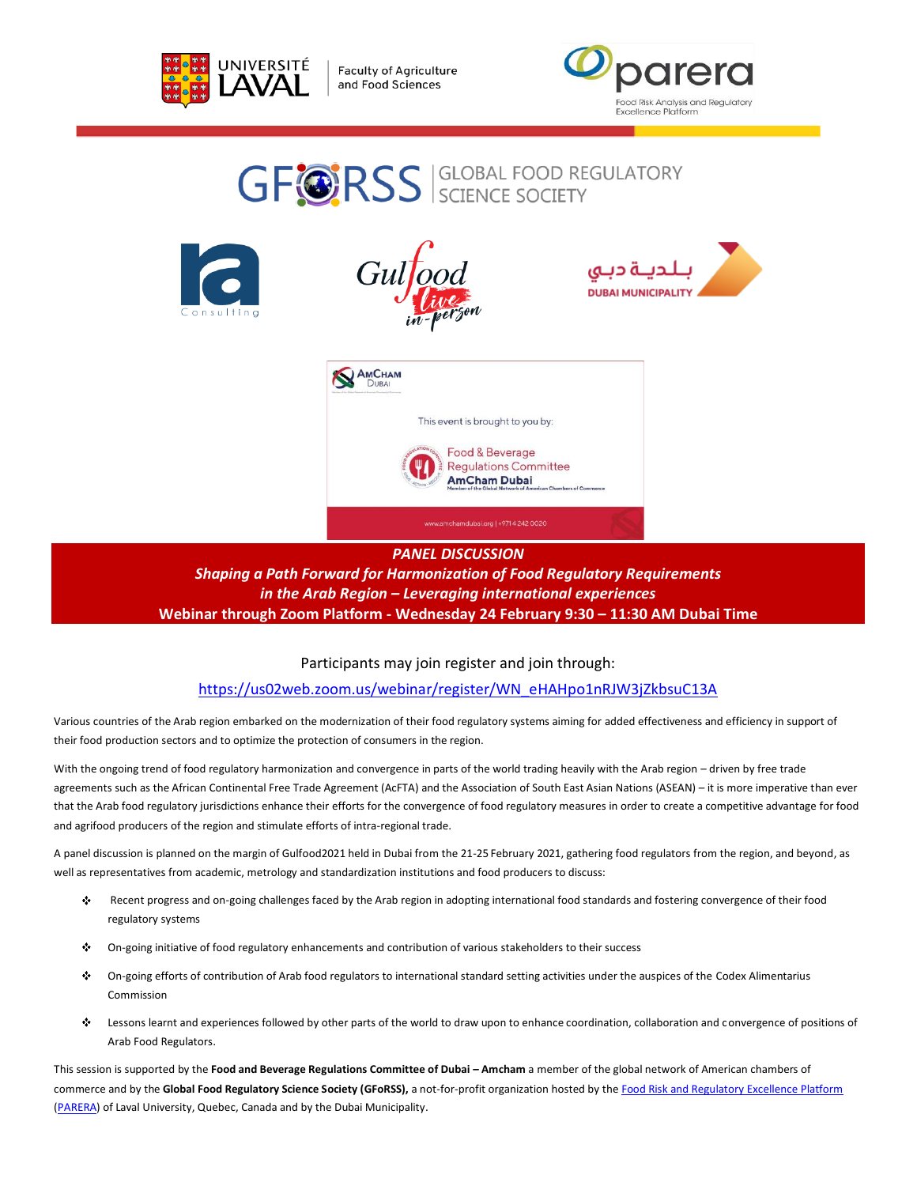

**Faculty of Agriculture** and Food Sciences













*PANEL DISCUSSION Shaping a Path Forward for Harmonization of Food Regulatory Requirements in the Arab Region – Leveraging international experiences* **Webinar through Zoom Platform - Wednesday 24 February 9:30 – 11:30 AM Dubai Time**

Participants may join register and join through:

[https://us02web.zoom.us/webinar/register/WN\\_eHAHpo1nRJW3jZkbsuC13A](https://us02web.zoom.us/webinar/register/WN_eHAHpo1nRJW3jZkbsuC13A)

Various countries of the Arab region embarked on the modernization of their food regulatory systems aiming for added effectiveness and efficiency in support of their food production sectors and to optimize the protection of consumers in the region.

With the ongoing trend of food regulatory harmonization and convergence in parts of the world trading heavily with the Arab region – driven by free trade agreements such as the African Continental Free Trade Agreement (AcFTA) and the Association of South East Asian Nations (ASEAN) – it is more imperative than ever that the Arab food regulatory jurisdictions enhance their efforts for the convergence of food regulatory measures in order to create a competitive advantage for food and agrifood producers of the region and stimulate efforts of intra-regional trade.

A panel discussion is planned on the margin of Gulfood2021 held in Dubai from the 21-25 February 2021, gathering food regulators from the region, and beyond, as well as representatives from academic, metrology and standardization institutions and food producers to discuss:

- ⊹ Recent progress and on-going challenges faced by the Arab region in adopting international food standards and fostering convergence of their food regulatory systems
- On-going initiative of food regulatory enhancements and contribution of various stakeholders to their success ÷
- ⊹ On-going efforts of contribution of Arab food regulators to international standard setting activities under the auspices of the Codex Alimentarius Commission
- ÷ Lessons learnt and experiences followed by other parts of the world to draw upon to enhance coordination, collaboration and convergence of positions of Arab Food Regulators.

This session is supported by the **Food and Beverage Regulations Committee of Dubai – Amcham** a member of the global network of American chambers of commerce and by the **Global Food Regulatory Science Society (GFoRSS),** a not-for-profit organization hosted by th[e Food Risk and Regulatory Excellence Platform](https://parera.ulaval.ca/) [\(PARERA\)](https://parera.ulaval.ca/) of Laval University, Quebec, Canada and by the Dubai Municipality.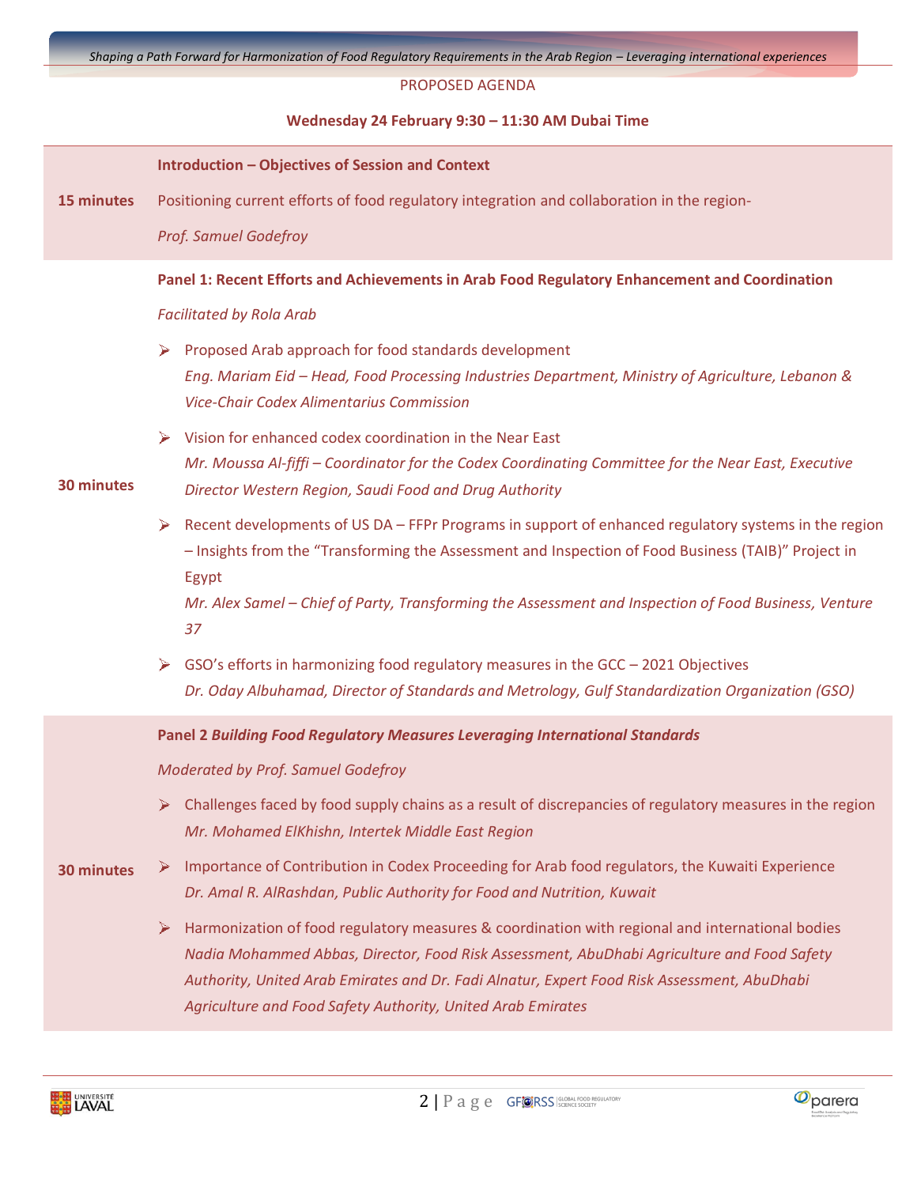### PROPOSED AGENDA

### **Wednesday 24 February 9:30 – 11:30 AM Dubai Time**

|                   | <b>Introduction - Objectives of Session and Context</b>                                                                                                                                                                                                                                                                                                                                                                                                                                                                                                                                                                                                                                                                                                                                                                                                                                                                             |
|-------------------|-------------------------------------------------------------------------------------------------------------------------------------------------------------------------------------------------------------------------------------------------------------------------------------------------------------------------------------------------------------------------------------------------------------------------------------------------------------------------------------------------------------------------------------------------------------------------------------------------------------------------------------------------------------------------------------------------------------------------------------------------------------------------------------------------------------------------------------------------------------------------------------------------------------------------------------|
| 15 minutes        | Positioning current efforts of food regulatory integration and collaboration in the region-                                                                                                                                                                                                                                                                                                                                                                                                                                                                                                                                                                                                                                                                                                                                                                                                                                         |
|                   | <b>Prof. Samuel Godefroy</b>                                                                                                                                                                                                                                                                                                                                                                                                                                                                                                                                                                                                                                                                                                                                                                                                                                                                                                        |
| 30 minutes        | Panel 1: Recent Efforts and Achievements in Arab Food Regulatory Enhancement and Coordination<br><b>Facilitated by Rola Arab</b><br>Proposed Arab approach for food standards development<br>➤<br>Eng. Mariam Eid - Head, Food Processing Industries Department, Ministry of Agriculture, Lebanon &<br><b>Vice-Chair Codex Alimentarius Commission</b><br>Vision for enhanced codex coordination in the Near East<br>➤<br>Mr. Moussa Al-fiffi - Coordinator for the Codex Coordinating Committee for the Near East, Executive<br>Director Western Region, Saudi Food and Drug Authority<br>Recent developments of US DA - FFPr Programs in support of enhanced regulatory systems in the region<br>➤<br>- Insights from the "Transforming the Assessment and Inspection of Food Business (TAIB)" Project in<br>Egypt<br>Mr. Alex Samel - Chief of Party, Transforming the Assessment and Inspection of Food Business, Venture<br>37 |
|                   | GSO's efforts in harmonizing food regulatory measures in the GCC - 2021 Objectives<br>➤<br>Dr. Oday Albuhamad, Director of Standards and Metrology, Gulf Standardization Organization (GSO)                                                                                                                                                                                                                                                                                                                                                                                                                                                                                                                                                                                                                                                                                                                                         |
|                   | <b>Panel 2 Building Food Regulatory Measures Leveraging International Standards</b>                                                                                                                                                                                                                                                                                                                                                                                                                                                                                                                                                                                                                                                                                                                                                                                                                                                 |
|                   | Moderated by Prof. Samuel Godefroy                                                                                                                                                                                                                                                                                                                                                                                                                                                                                                                                                                                                                                                                                                                                                                                                                                                                                                  |
| <b>30 minutes</b> | $\triangleright$ Challenges faced by food supply chains as a result of discrepancies of regulatory measures in the region<br>Mr. Mohamed ElKhishn, Intertek Middle East Region                                                                                                                                                                                                                                                                                                                                                                                                                                                                                                                                                                                                                                                                                                                                                      |
|                   | Importance of Contribution in Codex Proceeding for Arab food regulators, the Kuwaiti Experience<br>➤<br>Dr. Amal R. AlRashdan, Public Authority for Food and Nutrition, Kuwait                                                                                                                                                                                                                                                                                                                                                                                                                                                                                                                                                                                                                                                                                                                                                      |
|                   | Harmonization of food regulatory measures & coordination with regional and international bodies<br>➤<br>Nadia Mohammed Abbas, Director, Food Risk Assessment, AbuDhabi Agriculture and Food Safety<br>Authority, United Arab Emirates and Dr. Fadi Alnatur, Expert Food Risk Assessment, AbuDhabi<br>Agriculture and Food Safety Authority, United Arab Emirates                                                                                                                                                                                                                                                                                                                                                                                                                                                                                                                                                                    |